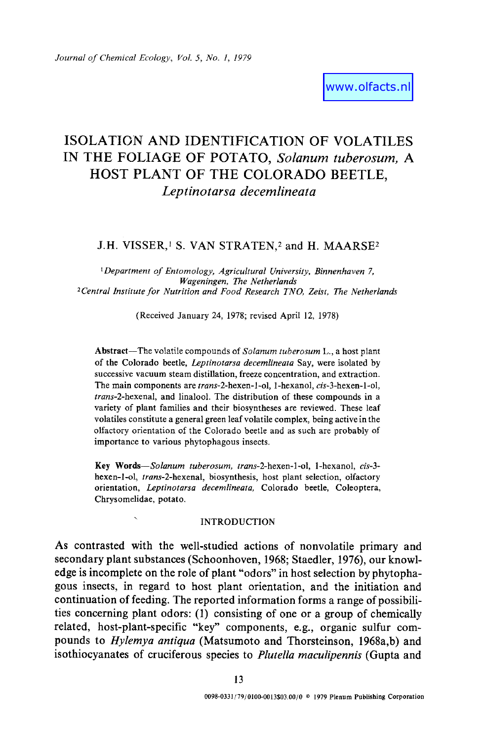# ISOLATIGN AND IDENTIFICATION OF VOLATILES IN THE FOLIAGE OF POTATO, *Solanum tuberosum, A*  HOST PLANT OF THE COLORADO BEETLE, *Leptinotarsa decemlineata*

## J.H. VISSER,<sup>1</sup> S. VAN STRATEN,<sup>2</sup> and H. MAARSE<sup>2</sup>

*1Department of Entomology, Agricultural University, Binnenhaven 7, Wageningen, The Netherlands 2Central Institute for Nutrition and Food Research TNO, Zeist, The Netherlands* 

(Received January 24, 1978; revised April 12, 1978)

Abstract--The volatile compounds of *Solanum tuberosum* L., a host plant of the Colorado beetle, *Leptinotarsa decemlineata* Say, were isolated by successive vacuum steam distillation, freeze concentration, and extraction. The main components are *trans-2-hexen-l-ol,* 1-hexanol, *cis-3-hexen-l-ol, trans-2-hexenal,* and linalool. The distribution of these compounds in a variety of plant families and their biosyntheses are reviewed. These leaf volatiles constitute a general green leaf volatile complex, being active in the olfactory orientation of the Colorado beetle and as such are probably of importance to various phytopbagous insects.

**Key** *Words--Solanum tuberosum, trans-2-hexen-l-ol,* 1-hexanol, *cis-3*  hexen-l-ol, *trans-2-hexenal,* biosynthesis, host plant selection, olfactory orientation, *Leptinotarsa decemlineata,* Colorado beetle, Coleoptera, Chrysomelidae, potato.

#### INTRODUCTION

As contrasted with the well-studied actions of nonvolatile primary and secondary plant substances (Schoonhoven, 1968; Staedler, 1976), our knowledge is incomplete on the role of plant "odors" in host selection by phytophagous insects, in regard to host plant orientation, and the initiation and continuation of feeding. The reported information forms a range of possibilities concerning plant odors: (1) consisting of one or a group of chemically related, host-plant-specific "key" components, e.g., organic sulfur compounds to *Hylemya antiqua* (Matsumoto and Thorsteinson, 1968a,b) and isothiocyanates of cruciferous species to *Plutella maculipennia* (Gupta and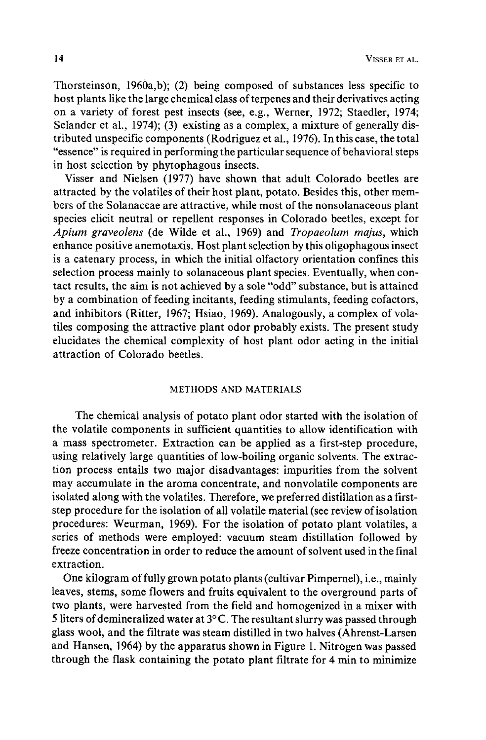Thorsteinson, 1960a,b); (2) being composed of substances less specific to host plants like the large chemical class of terpenes and their derivatives acting on a variety of forest pest insects (see, e.g., Werner, 1972; Staedler, 1974; Selander et al., 1974); (3) existing as a complex, a mixture of generally distributed unspecific components (Rodriguez et al., 1976). In this case, the total "essence" is required in performing the particular sequence of behavioral steps in host selection by phytophagous insects.

Visser and Nielsen (1977) have shown that adult Colorado beetles are attracted by the volatiles of their host plant, potato. Besides this, other members of the Solanaceae are attractive, while most of the nonsolanaceous plant species elicit neutral or repellent responses in Colorado beetles, except for *Apium graveolens* (de Wilde et al., 1969) and *Tropaeolum majus,* which enhance positive anemotaxis. Host plant selection by this oligophagous insect is a catenary process, in which the initial olfactory orientation confines this selection process mainly to solanaceous plant species. Eventually, when contact results, the aim is not achieved by a sole "odd" substance, but is attained by a combination of feeding incitants, feeding stimulants, feeding cofactors, and inhibitors (Ritter, 1967; Hsiao, 1969). Analogously, a complex of volatiles composing the attractive plant odor probably exists. The present study elucidates the chemical complexity of host plant odor acting in the initial attraction of Colorado beetles.

### METHODS AND MATERIALS

The chemical analysis of potato plant odor started with the isolation of the volatile components in sufficient quantities to allow identification with a mass spectrometer. Extraction can be applied as a first-step procedure, using relatively large quantities of low-boiling organic solvents. The extraction process entails two major disadvantages: impurities from the solvent may accumulate in the aroma concentrate, and nonvolatile components are isolated along with the volatiles. Therefore, we preferred distillation as a firststep procedure for the isolation of all volatile material (see review of isolation procedures: Weurman, 1969). For the isolation of potato plant volatiles, a series of methods were employed: vacuum steam distillation followed by freeze concentration in order to reduce the amount of solvent used in the final extraction.

One kilogram of fully grown potato plants (cultivar Pimpernel), i.e., mainly leaves, stems, some flowers and fruits equivalent to the overground parts of two plants, were harvested from the field and homogenized in a mixer with 5 liters of demineralized water at  $3^{\circ}$ C. The resultant slurry was passed through glass wool, and the filtrate was steam distilled in two halves (Ahrenst-Larsen and Hansen, 1964) by the apparatus shown in Figure 1. Nitrogen was passed through the flask containing the potato plant filtrate for 4 min to minimize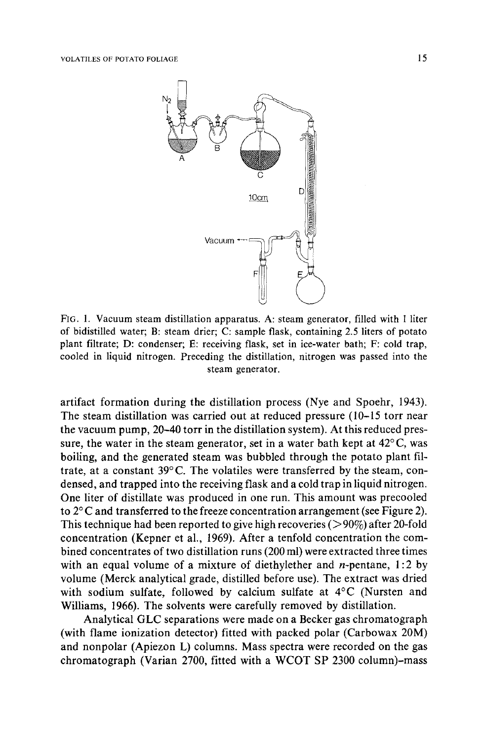

FIG. 1. Vacuum steam distillation apparatus. A: steam generator, filled with 1 liter of bidistilled water; B: steam drier; C: sample flask, containing 2.5 liters of potato plant filtrate; D: condenser; E: receiving flask, set in ice-water bath; F: cold trap, cooled in liquid nitrogen. Preceding the distillation, nitrogen was passed into the steam generator.

artifact formation during the distillation process (Nye and Spoehr, 1943). The steam distillation was carried out at reduced pressure (10-15 torr near the vacuum pump, 20-40 torr in the distillation system). At this reduced pressure, the water in the steam generator, set in a water bath kept at  $42^{\circ}$ C, was boiling, and the generated steam was bubbled through the potato plant filtrate, at a constant  $39^{\circ}$ C. The volatiles were transferred by the steam, condensed, and trapped into the receiving flask and a cold trap in liquid nitrogen. One liter of distillate was produced in one run. This amount was precooled to  $2^{\circ}$ C and transferred to the freeze concentration arrangement (see Figure 2). This technique had been reported to give high recoveries ( $> 90\%$ ) after 20-fold concentration (Kepner et al., 1969). After a tenfold concentration the combined concentrates of two distillation runs (200 ml) were extracted three times with an equal volume of a mixture of diethylether and *n*-pentane,  $1:2$  by volume (Merck analytical grade, distilled before use). The extract was dried with sodium sulfate, followed by calcium sulfate at  $4^{\circ}$ C (Nursten and Williams, 1966). The solvents were carefully removed by distillation.

Analytical GLC separations were made on a Becker gas chromatograph (with flame ionization detector) fitted with packed polar (Carbowax 20M) and nonpolar (Apiezon L) columns. Mass spectra were recorded on the gas chromatograph (Varian 2700, fitted with a WCOT SP 2300 column)-mass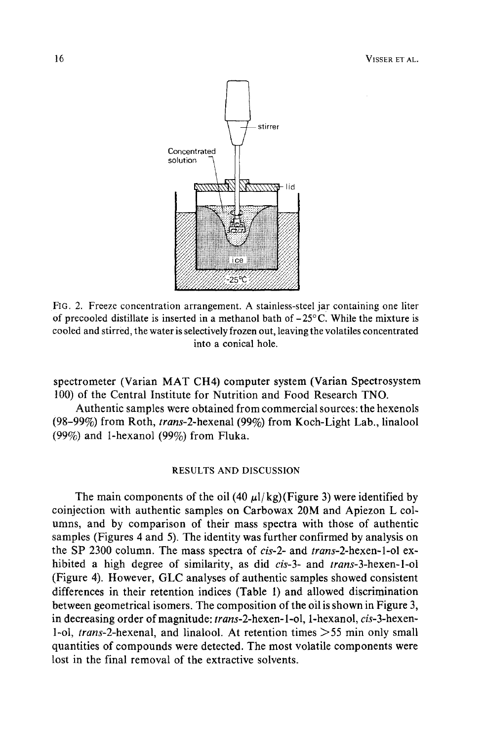

FIG. 2. Freeze concentration arrangement. A stainless-steel jar containing one liter of precooled distillate is inserted in a methanol bath of  $-25^{\circ}$ C. While the mixture is cooled and stirred, the water is selectively frozen out, leaving the volatiles concentrated into a conical hole.

spectrometer (Varian MAT CH4) computer system (Varian Spectrosystem 100) of the Central Institute for Nutrition and Food Research TNO.

Authentic samples were obtained from commercial sources: the hexenols (98-99%) from Roth, *trans-2-hexenal* (99%) from Koch-Light Lab., linalool (99%) and 1-hexanol (99%) from Fluka.

### RESULTS AND DISCUSSION

The main components of the oil (40  $\mu$ l/kg)(Figure 3) were identified by coinjection with authentic samples on Carbowax 20M and Apiezon L columns, and by comparison of their mass spectra with those of authentic samples (Figures 4 and 5). The identity was further confirmed by analysis on the SP 2300 column. The mass spectra of *cis-2-* and *trans-2-hexen-l-ol* exhibited a high degree of similarity, as did *cis-3-* and *trans-3-hexen-l-ol*  (Figure 4). However, GLC analyses of authentic samples showed consistent differences in their retention indices (Table 1) and allowed discrimination between geometrical isomers. The composition of the oil is shown in Figure 3, in decreasing order of magnitude: *trans-2-hexen-1-ol,* 1-hexanol, *cis-3-hexen-*1-ol, *trans-2-hexenal,* and linalool. At retention times >55 rain only small quantities of compounds were detected. The most volatile components were lost in the final removal of the extractive solvents.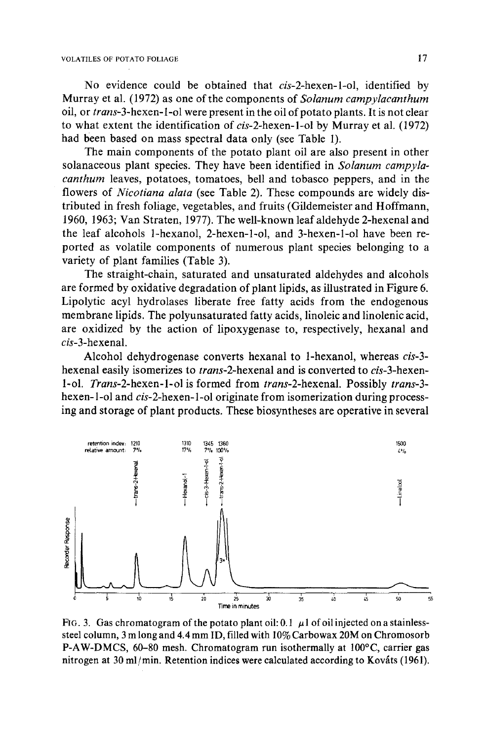No evidence could be obtained that *cis-2-hexen-l-ol,* identified by Murray et al. (1972) as one of the components of *Solarium carnpylacanthurn*  oil, or *trans-3-hexen-l-ol* were present in the oil of potato plants. It is not clear to what extent the identification of *cis-2-hexen-l-ol* by Murray et al. (1972) had been based on mass spectral data only (see Table 1).

The main components of the potato plant oil are also present in other solanaceous plant species. They have been identified in *Solanum campylacanthum* leaves, potatoes, tomatoes, bell and tobasco peppers, and in the flowers of *Nicotiana alata* (see Table 2). These compounds are widely distributed in fresh foliage, vegetables, and fruits (Gildemeister and Hoffmann, 1960, 1963; Van Straten, 1977). The well-known leaf aldehyde 2-hexenal and the leaf alcohols 1-hexanol, 2-hexen-l-ol, and 3-hexen-l-ol have been reported as volatile components of numerous plant species belonging to a variety of plant families (Table 3).

The straight-chain, saturated and unsaturated aldehydes and alcohols are formed by oxidative degradation of plant lipids, as illustrated in Figure 6. Lipolytic acyl hydrolases liberate free fatty acids from the endogenous membrane lipids. The polyunsaturated fatty acids, linoleic and linolenic acid, are oxidized by the action of lipoxygenase to, respectively, hexanal and *cis-3-hexenal.* 

Alcohol dehydrogenase converts hexanal to 1-hexanol, whereas *cis-3*  hexenal easily isomerizes to *trans-2-hexenal* and is converted to *cis-3-hexen-*1-ol. *Trans-2-hexen-l-ol* is formed from *trans-2-hexenal.* Possibly *trans-3*  hexen-1-ol and *cis-2-hexen-1-ol* originate from isomerization during processing and storage of plant products. These biosyntheses are operative in several



FIG. 3. Gas chromatogram of the potato plant oil: 0.1  $\mu$ 1 of oil injected on a stainlesssteel column, 3 m long and 4.4 mm ID, filled with 10% Carbowax 20M on Chromosorb P-AW-DMCS,  $60-80$  mesh. Chromatogram run isothermally at  $100^{\circ}$ C, carrier gas nitrogen at 30 ml/min. Retention indices were calculated according to Kováts (1961).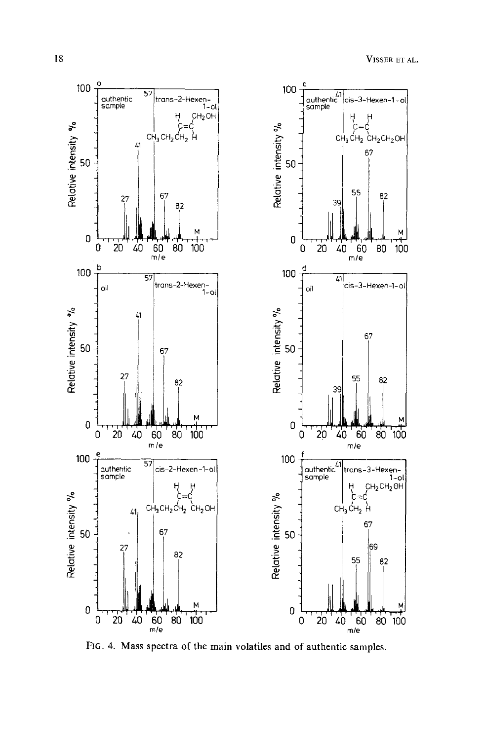

**s** spectra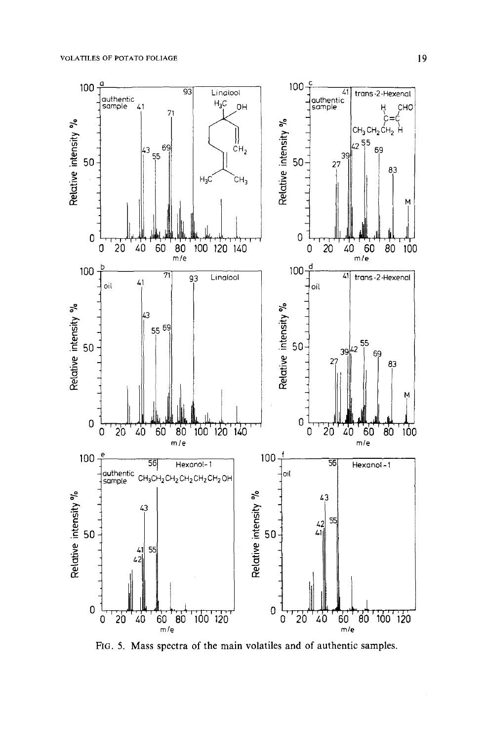

**FIG. 5. Mass spectra of the main volatiles and of authentic samples.**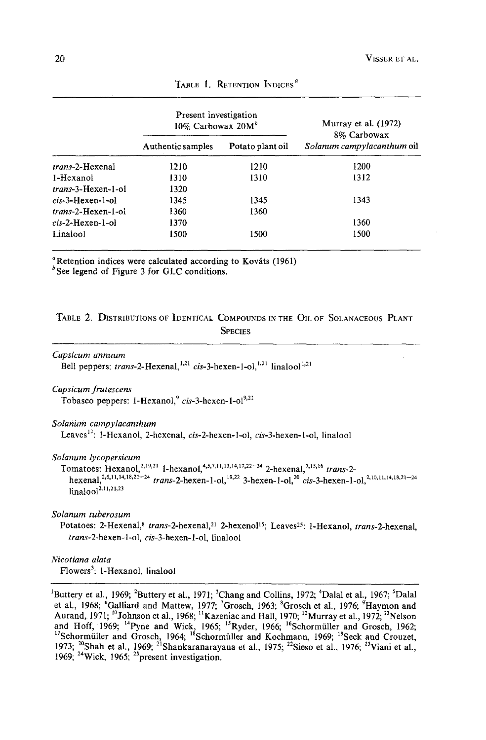|                            | Present investigation<br>10% Carbowax $20M^b$ |                  | Murray et al. (1972)<br>8% Carbowax |
|----------------------------|-----------------------------------------------|------------------|-------------------------------------|
|                            | Authentic samples                             | Potato plant oil | Solanum campylacanthum oil          |
| trans-2-Hexenal            | 1210                                          | 1210             | 1200                                |
| 1-Hexanol                  | 1310                                          | 1310             | 1312                                |
| <i>trans</i> -3-Hexen-1-ol | 1320                                          |                  |                                     |
| $cis$ -3-Hexen-1-ol        | 1345                                          | 1345             | 1343                                |
| <i>trans</i> -2-Hexen-1-ol | 1360                                          | 1360             |                                     |
| $cis$ -2-Hexen-1-ol        | 1370                                          |                  | 1360                                |
| Linalool                   | 1500                                          | 1500             | 1500                                |

TABLE 1. RETENTION INDICES<sup>a</sup>

 $a<sup>a</sup>$  Retention indices were calculated according to Kováts (1961)

 $b$  See legend of Figure 3 for GLC conditions.

## TABLE 2. DISTRIBUTIONS OF IDENTICAL COMPOUNDS IN THE OIL OF SOLANACEOUS PLANT **SPECIES**

```
Capsicum annuum
```
Bell peppers: *trans*-2-Hexenal,<sup>1,21</sup> cis-3-hexen-1-ol,<sup>1,21</sup> linalool<sup>1,21</sup>

*Capsicum frutescens* 

Tobasco peppers: 1-Hexanol,<sup>9</sup> cis-3-hexen-1-ol<sup>9,21</sup>

#### *Solanum campylacanthum*

Leaves12: 1-Hexanol, 2-hexenal, *cis-2-hexen-l-ol, cis-3-hexen-l-ol,* linalool

#### *Solanum lycopersicum*

```
Tomatoes: Hexanol, <sup>2, 19, 21</sup> 1-hexanol, <sup>4, 5, 7, 11, 13, 14, 17, 22-24</sup> 2-hexenal, <sup>7, 15, 16</sup> trans-2-
hexenal,<sup>2,6,H, 14, 18,21-24</sup> trans-2-hexen-1-ol,<sup>19,22</sup> 3-hexen-1-ol,<sup>20</sup> cis-3-hexen-1-ol,<sup>2,10,11,14,18,21-24</sup>
linalool<sup>2,11,21,23</sup>
```
*Solanum tuberosum* 

Potatoes: 2-Hexenal,<sup>8</sup> trans-2-hexenal,<sup>21</sup> 2-hexenol<sup>15</sup>; Leaves<sup>25</sup>: 1-Hexanol, *trans-2-hexenal*, *trans-2-hexen-l-ol, cis-3-hexen-l-ol,* linalool

*Nicotiana alata*  Flowers<sup>3</sup>: 1-Hexanol, linalool

<sup>1</sup>Buttery et al., 1969; <sup>2</sup>Buttery et al., 1971; <sup>3</sup>Chang and Collins, 1972; <sup>4</sup>Dalal et al., 1967; <sup>5</sup>Dalal et al., 1968; "Galliard and Mattew, 1977; <sup>7</sup>Grosch, 1963;  ${}^{8}$ Grosch et al., 1976;  ${}^{9}$ Haymon and Aurand, 1971; "Johnson et al., 1968; "Kazeniac and Hall, 1970; "Murray et al., 1972; "Nelson and Hoff, 1969; "Pyne and Wick, 1965; "Ryder, 1966; "Schormüller and Grosch, 1962; <sup>17</sup>Schormüller and Grosch, 1964; <sup>18</sup>Schormüller and Kochmann, 1969; <sup>19</sup>Seck and Crouzet, 1973; <sup>20</sup>Shah et al., 1969; <sup>21</sup>Shankaranarayana et al., 1975; <sup>22</sup>Sieso et al., 1976; <sup>23</sup>Viani et al., 1969; 24Wick, 1965; 2~present investigation.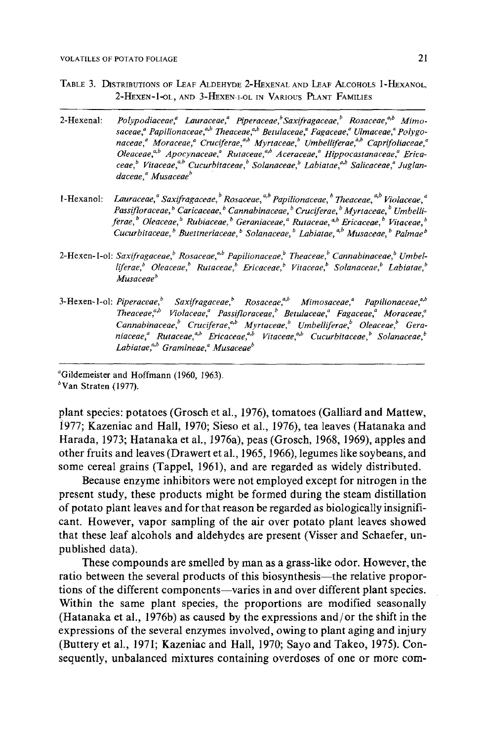- TABLE 3. DISTRIBUTIONS OF LEAF ALDEHYDE 2-HEXENAL AND LEAF ALCOHOLS I-HEXANOL, 2-HEXEN-1-OL, AND 3-HEXEN-1-OL IN VARIOUS PLANT FAMILIES
- 2-Hexenal: Polypodiaceae,<sup>a</sup> Lauraceae,<sup>a</sup> Piperaceae,<sup>b</sup> Saxifragaceae,<sup>b</sup> Rosaceae,<sup>a,b</sup> Mimosaceae,<sup>a</sup> Papilionaceae,<sup>a,b</sup> Theaceae,<sup>a,b</sup> Betulaceae,<sup>a</sup> Fagaceae,<sup>a</sup> Ulmaceae,<sup>a</sup> Polygonaceae,<sup>a</sup> Moraceae,<sup>a</sup> Cruciferae,<sup>a,b</sup> Myrtaceae,<sup>b</sup> Umbelliferae,<sup>a,b</sup> Caprifoliaceae,<sup>a</sup> *Oleaceae*,<sup>a,b</sup> Apocynaceae,<sup>a</sup> Rutaceae,<sup>a,b</sup> Aceraceae,<sup>a</sup> Hippocastanaceae,<sup>a</sup> Ericaceae,<sup>b</sup> Vitaceae,<sup>a,b</sup> Cucurbitaceae,<sup>b</sup> Solanaceae,<sup>b</sup> Labiatae,<sup>a,b</sup> Salicaceae,<sup>a</sup> Juglandaceae,<sup>a</sup> Musaceae<sup>b</sup>
- **l-Hexanol:** *Lauraceae*, <sup>*a*</sup> Saxifragaceae, <sup>*b*</sup> Rosaceae, <sup>a,b</sup> Papilionaceae, <sup>b</sup> Theaceae, <sup>a,b</sup> Violaceae, <sup>a</sup> Passifloraceae, <sup>b</sup> Caricaceae, <sup>b</sup> Cannabinaceae, <sup>b</sup> Cruciferae, <sup>b</sup> Myrtaceae, <sup>b</sup> Umbelli*ferae, b Oleaceae, b Rubiaeeae, b Geraniaceae, ~ Rutaeeae, a,b Ericaceae, b Vitaceae, b Cucurbitaceae, b Buettneriaceae, b Solanaceae, b Labiatae, ~,b Musaceae, b Palmae b*
- 2-Hexen-1-ol: Saxifragaceae,<sup>b</sup> Rosaceae,<sup>a,b</sup> Papilionaceae,<sup>b</sup> Theaceae,<sup>b</sup> Cannabinaceae,<sup>b</sup> Umbel*liferae*, <sup>b</sup> Oleaceae, <sup>b</sup> Rutaceae, <sup>b</sup> Ericaceae, <sup>b</sup> Vitaceae, <sup>b</sup> Solanaceae, <sup>b</sup> Labiatae, <sup>b</sup> *Musaceae*<sup>b</sup>
- 3-Hexen-1-ol: *Piperaceae*, *b* Saxifragaceae, *b* Rosaceae,<sup>a, b</sup> Mimosaceae,<sup>a</sup> Papilionaceae,<sup>a, b</sup> *Theaceae, a'b Violaceae, ~ Passifloraceaef Betulaceaef Fagaceae, ~ Moraceae, ~ Cannabinaceae, b Cruciferaef 'b Myrtaceae, b Urnbelliferae, b Oleaceae, b Geraniaceaef Rutaceaef 'b Ericaceaef "b Vitaceaef 'b Cucurbitaceae, b Solanaceae, b*  Labiatae,<sup>a,b</sup> Gramineae,<sup>a</sup> Musaceae<sup>b</sup>

**~Gildemeister and Hoffmann** (1960, 1963).

 $b$ Van Straten (1977).

**plant species: potatoes (Grosch et al., 1976), tomatoes (Galliard and Mattew, 1'977; Kazeniac and Hall, 1970; Sieso et al., 1976), tea leaves (Hatanaka and Harada, 1973; Hatanaka et al., 1976a), peas (Grosch, 1968, 1969), apples and other fruits and leaves (Drawert et al., 1965, 1966), legumes like soybeans, and some cereal grains (Tappel, 1961), and are regarded as widely distributed.** 

**Because enzyme inhibitors were not employed except for nitrogen in the present study, these products might be formed during the steam distillation of potato plant leaves and for that reason be regarded as biologically insignificant. However, vapor sampling of the air over potato plant leaves showed that these leaf alcohols and aldehydes are present (Visser and Schaefer, unpublished data).** 

**These compounds are smelled by man as a grass-like odor. However, the**  ratio between the several products of this biosynthesis—the relative proportions of the different components--varies in and over different plant species. **Within the same plant species, the proportions are modified seasonally (Hatanaka et al., 1976b) as caused by the expressions and/or the shift in the expressions of the several enzymes involved, owing to plant aging and injury (Buttery et al., 1971; Kazeniac and Hall, 1970; Sayo and Takeo, 1975). Consequently, unbalanced mixtures containing overdoses of one or more corn-**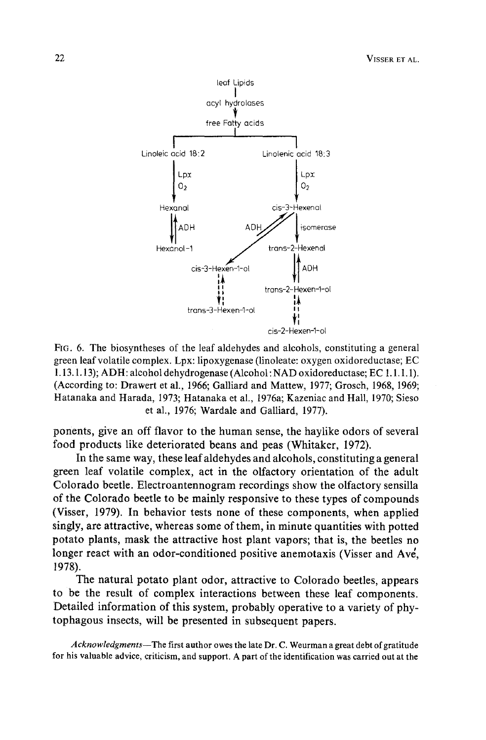

FIG. 6. The biosyntheses of the leaf aldehydes and alcohols, constituting a general green leaf volatile complex. Lpx: lipoxygenase (linoleate: oxygen oxidoreductase; EC 1.13.1.13); ADH: alcohol dehydrogenase (Alcohol: NAD oxidoreductase; EC 1.1. I. 1). (According to: Drawert et al., 1966; Galliard and Mattew, 1977; Groseh, 1968, 1969; Hatanaka and Harada, 1973; Hatanaka et al., 1976a; Kazeniac and Hall, 1970; Sieso et al., 1976; Wardale and Galliard, 1977).

ponents, give an off flavor to the human sense, the haylike odors of several food products like deteriorated beans and peas (Whitaker, 1972).

In the same way, these leaf aldehydes and alcohols, constituting a general green leaf volatile complex, act in the olfactory orientation of the adult Colorado beetle. Electroantennogram recordings show the olfactory sensilla of the Colorado beetle to be mainly responsive to these types of compounds (Visser, 1979). In behavior tests none of these components, when applied singly, are attractive, whereas some of them, in minute quantities with potted potato plants, mask the attractive host plant vapors; that is, the beetles no longer react with an odor-conditioned positive anemotaxis (Visser and Ave, 1978).

The natural potato plant odor, attractive to Colorado beetles, appears to be the result of complex interactions between these leaf components. Detailed information of this system, probably operative to a variety of phytophagous insects, will be presented in subsequent papers.

*Acknowledgments--The* first author owes the late Dr. C. Weurman a great debt of gratitude for his valuable advice, criticism, and support. A part of the identification was carried out at the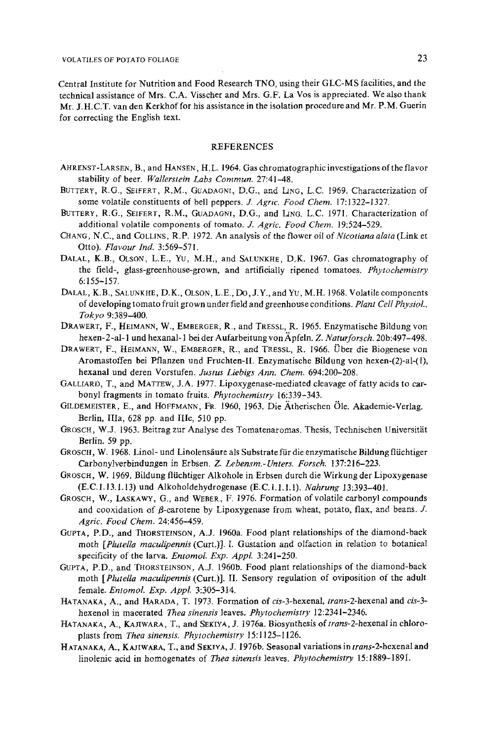Central Institute for Nutrition and Food Research TNO, using their GLC-MS facilities, and the technical assistance of Mrs. C.A. Visseher and Mrs. G.F. La Vos is appreciated. We also thank Mr. J.H.C,T. van den Kerkhof for his assistance in the isolation procedure and Mr. P.M. Guerin for correcting the English text.

#### **REFERENCES**

- AHRENST-LARSEN, B., and HANSEN, H.L. 1964. Gas chromatographic investigations of the flavor stability of beer. *Wallerstein Labs Commun.* 27:41-48.
- BUTTERY, R.G., SEIFERT, R.M., GUADAGNI, D.G., and LING, L.C. 1969. Characterization of some volatile constituents of bell peppers. Z *Agric. Food Chem.* 17:1322-1327.
- BUTTERY, R.G., SEIFERT, R.M., GUADAGNI, D.G., and LING, L.C. 1971. Characterization of additional volatile components of tomato. J. *Agric. Food Chem.* 19:524-529.
- CHANG, N.C., and COLLINS, R.P. 1972. An analysis of the flower oil of *Nicotiana alata* (Link et Otto). *Flavour Ind.* 3:569-571.
- DALAL, K.B., OLSON, L.E., YU, M.H., and SALUNKHE, D.K. 1967. Gas chromatography of the field-, glass-greenhouse-grown, and artificially ripened tomatoes. *Phytochemistry*  6:155-157.
- DALAL, K.B., SALUNKHE, D.K., OLSON, L.E, DO, J.Y., and *YU,* M.H. 1968. Volatile components of developing tomato fruit grown under field and greenhouse conditions. *Plant Cell PhysioL, Tokyo* 9:389-400.
- DRAWERT, F., HEIMANN, W., EMBERGER, R., and TRESSL, R. 1965. Enzymatische Bildung yon hexen-2-al-1 und hexanal-1 bei der Aufarbeitung von Apfeln. Z. Naturforsch. 20b:497-498.
- DRAWERT, F., HEIMANN, W., EMSERGER, R., and TRESSL, R. I966. Uber die Biogenese von Aromastoffen bei Pflanzen und Fruchten-II. Enzymatische Bildung yon hexen-(2)-al-(l), hexanal und deren Vorstufen. *Justus Liebigs Ann. Chem.* 694:200-208.
- GALLIARD, T., and MATTEW, J.A. 1977. Lipoxygenase-mediated cleavage of fatty acids to carbonyl fragments in tomato fruits. *Phytochemistry* 16:339-343.
- GILDEMEISTER, E., and HOFFMANN, FR. 1960, 1963. Die Ätherischen Öle. Akademie-Verlag. Berlin, IIIa, 628 pp. and IIIc, 510 pp.
- GROSCH, W.J. 1963. Beitrag zur Analyse des Tomatenaromas. Thesis, Technischen Universität Berlin. 59 pp.
- GROSCH, W. 1968. Linol- und Linolensäure als Substrate für die enzymatische Bildung flüchtiger Carbonylverbindungen in Erbsen. *Z. Lebensm.-Unters. Forseh.* 137:216-223.
- GROSCH, W. 1969. Bildung fltichtiger Alkohole in Erbsen dutch die Wirkung der Lipoxygenase (E.C. 1.13.1.13) und Alkoholdehydrogenase (E.C. 1.1.1.1). *Nahrung* 13:393-401.
- GROSCH, W., LASKAWY, G., and WEBER, F. 1976. Formation of volatile carbonyl compounds and cooxidation of  $\beta$ -carotene by Lipoxygenase from wheat, potato, flax, and beans. J. *Agric. Food Chem.* 24:456-459.
- GOPTA, P.D., and INORSTEINSON, A.J. 1960a. Food plant relationships of the diamond-back moth *[Plutella maculipennis* (Curt.)J. I. Gustation and olfaction in relation to botanical specificity of the larva. *EntomoL Exp. AppL* 3:241-250.
- GUPTA, P.D., and THORSTE1NSON, A.J. 1960b. Food plant relationships of the diamond-back moth *[Plutella maculipennis* (Curt.)]. II. Sensory regulation of oviposition of the adult female. *Entomol. Exp. AppL* 3:305-314.
- HATANAKA, A., and HARADA, T. 1973. Formation of *cis-3-hexenal, lrans-2-hexenal* and *cis-3*  hexenol in macerated *Thea sinensis* leaves. *Phytochemistry* 12:2341-2346.
- HATANAKA, A., KAJIWARA, T., and SEKIYA, J. 1976a. Biosynthesis of *trans-2-hexenal* in chloroplasts from *Thea sinensis: Phytochemistry* 15:1125-1126.
- HATANAKA, A., KAJIWARA, T., and SEKIVA, J. 1976b. Seasonal variations in *trans-2-hexenal* and linolenic acid in homogenates of *Thea sinensis* leaves. *Phytochemistry* 15:1889-1891.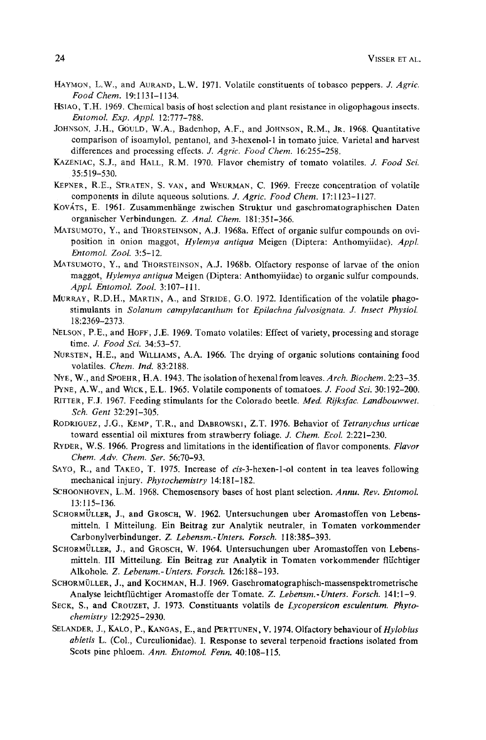- HAYMON, L.W., and AURAND, L.W. 1971. Volatile constituents of tobasco peppers. J. *Agric. Food Chem.* 19:1131-1134.
- HSIAO, T.H. 1969. Chemical basis of host selection and plant resistance in oligophagous insects. *Entomol. Exp. Appl.* 12:777-788.
- JOHNSON, J.H., GOULD, W.A., Badenhop, A.F., and JOHNSON, R.M., JR. 1968. Quantitative comparison of isoamylol, pentanol, and 3-hexenol-1 in tomato juice. Varietal and harvest differences and processing effects. J. *Agric. Food Chem.* 16:255-258.
- KAZENIAC, S.J., and HALL, R.M. 1970. Flavor chemistry of tomato volatiles. *J. Food Sci.* 35:519-530.
- KEPNER, R.E., STRATEN, S. VAN, and WEURMAN, C. 1969. Freeze concentration of volatile components in dilute aqueous solutions. *J. Agric. Food Chem.* 17:1123-1127.
- KOVATS, E. 1961. Zusammenhiinge zwischen Struktur und gaschromatographischen Daten organischer Verbindungen. *Z. Anal. Chem.* 181:351-366.
- MATSUMOTO, Y., and THORSTEINSON, A.J. 1968a. Effect of organic sulfur compounds on oviposition in onion maggot, *Hylemya antiqua* Meigen (Diptera: Anthomyiidae). *AppL EntomoL Zool.* 3:5-12.
- MATSUMOTO, Y., and THORSTEINSON, A.J. 1968b. Olfactory response of larvae of the onion maggot, *Hylemya antiqua* Meigen (Diptera: Anthomyiidae) to organic sulfur compounds. *AppL Entomol. Zool.* 3:107-111.
- MURRAY, R.D.H., MARTIN, A., and STRIDE, G.O. 1972. Identification of the volatile phagostimulants in *Solanum campylaeanthum* for *Epilachna fulvosignata. J. Insect PhysioL*  18:2369-2373.
- NELSON, P.E., and HOFF, J.E. 1969. Tomato volatiles: Effect of variety, processing and storage time. *J. Food Sei.* 34:53-57.
- NURSTEN, H.E., and WILLIAMS, A.A. 1966. The drying of organic solutions containing food volatiles. *Chem. Ind.* 83:2188.
- NYE, W., and SPOEHR, H.A. 1943. The isolation of hexenal from leaves. Arch. Biochem. 2:23-35.

PYNE, A.W., and WICK, E.L. 1965. Volatile components of tomatoes. *J. Food Sci.* 30:192-200.

- PATTER, F.J. 1967. Feeding stimulants for the Colorado beetle. *Med. Rijksfae. Landbouwwet. Sch. Gent* 32:291-305.
- RODglGUEZ, *3,G.,* KEMP, T.R., and DABROWSK1, Z.T. 1976. Behavior of *Tetranychus urtieae*  toward essential oil mixtures from strawberry foliage. *J. Chem. EcoL* 2:221-230.
- RYDER, W.S. 1966. Progress and limitations in the identification of flavor components. *Flavor Chem. Adv. Chem. Ser.* 56:70-93.
- SAYO, R., and TAKEO, T. 1975. Increase of *eis-3-hexen-l-ol* content in tea leaves following mechanical injury. *Phytochemistry* 14:18 I- 182.
- SCrIOONHOVEN, L.M. t968. Chemosensory bases of host plant selection. *Annu. Rev. Entomol.*  13:115-136.
- SCHORMÜLLER, J., and GROSCH, W. 1962. Untersuchungen uber Aromastoffen von Lebensmitteln. I Mitteilung. Ein Beitrag zur Analytik neutraler, in Tomaten vorkommender Carbonylverbindunger. Z. *Lebensm.-Unters. Forsch.* 118:385-393.
- SCHORMÜLLER, J., and GROSCH, W. 1964. Untersuchungen uber Aromastoffen von Lebensmitteln. III Mitteilung. Ein Beitrag zur Analytik in Tomaten vorkommender fliichtiger Alkohole. *Z. Lebensm.- Unters. Forsch.* 126:188-193.
- SCHORMÜLLER, J., and KOCHMAN, H.J. 1969. Gaschromatographisch-massenspektrometrische Analyse leichtflfichtiger Aromastoffe der Tomate. *Z. Lebensm.-Unters. Forsch.* 141:1-9.
- SECK, S., and CROUZET, J. 1973. Constituants volatils de *Lyeopersieon eseulentum. Philochemistry* 12:2925-2930.
- SELANDER, J., KALO, P., KANGAS, E., and PERTTUNEN, V. 1974. Olfactory behaviour of *Hylobius abietis* L. (COL, Curculionidae). I. Response to several terpenoid fractions isolated from Scots pine phloem. *Ann. Entomol. Fenn.* 40:108-115.